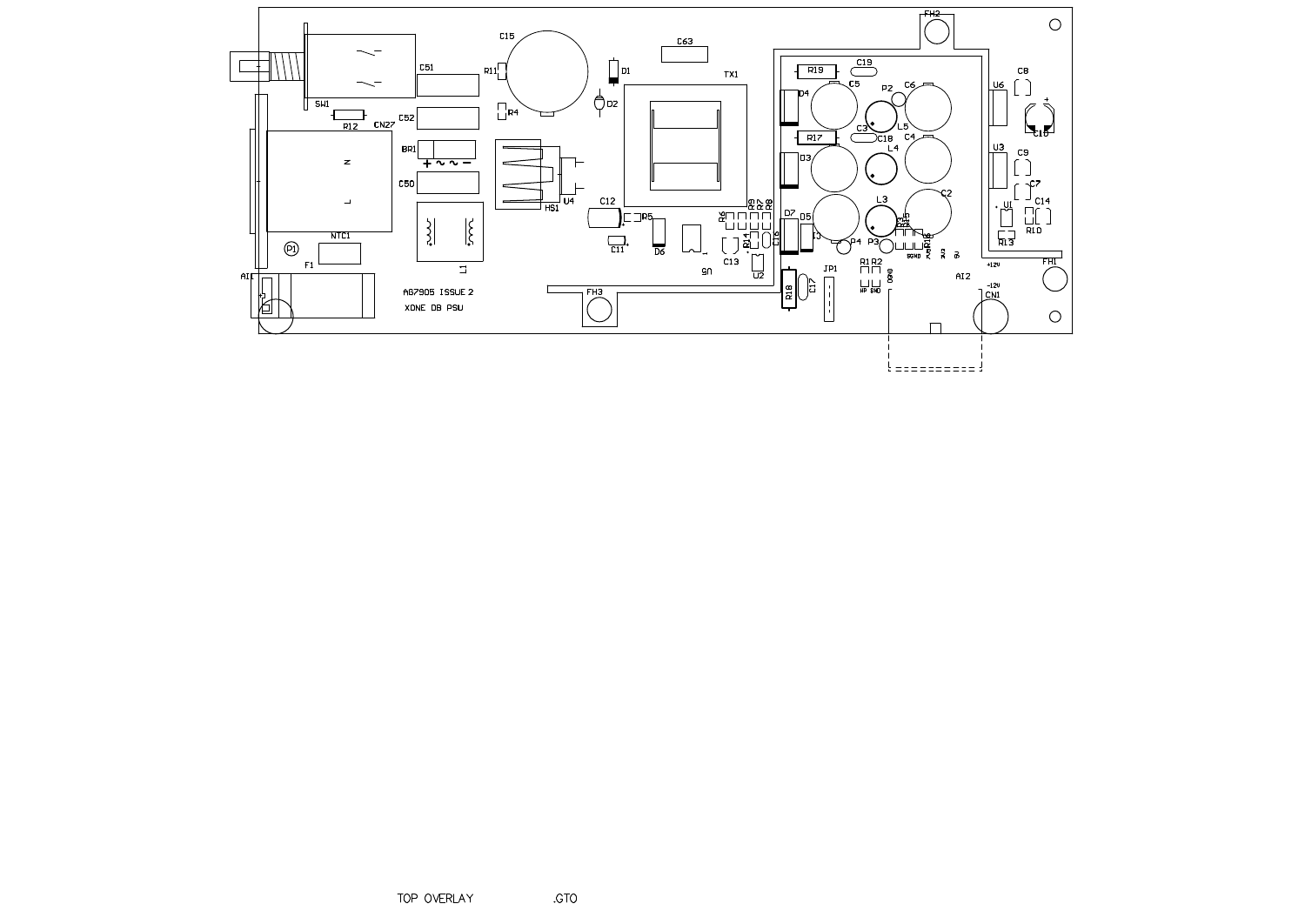